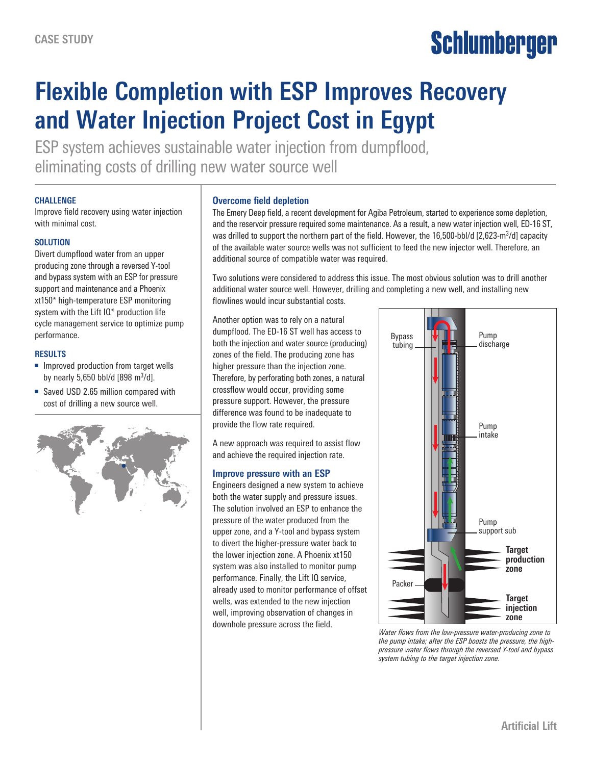# Schlumberger

## **Flexible Completion with ESP Improves Recovery and Water Injection Project Cost in Egypt**

ESP system achieves sustainable water injection from dumpflood, eliminating costs of drilling new water source well

#### **CHALLENGE**

Improve field recovery using water injection with minimal cost.

### **SOLUTION**

Divert dumpflood water from an upper producing zone through a reversed Y-tool and bypass system with an ESP for pressure support and maintenance and a Phoenix xt150\* high-temperature ESP monitoring system with the Lift IQ\* production life cycle management service to optimize pump performance.

#### **RESULTS**

- Improved production from target wells by nearly 5,650 bbl/d  $[898 \text{ m}^3/\text{d}]$ .
- Saved USD 2.65 million compared with cost of drilling a new source well.



#### **Overcome field depletion**

The Emery Deep field, a recent development for Agiba Petroleum, started to experience some depletion, and the reservoir pressure required some maintenance. As a result, a new water injection well, ED-16 ST, was drilled to support the northern part of the field. However, the 16,500-bbl/d [2,623-m<sup>3</sup>/d] capacity of the available water source wells was not sufficient to feed the new injector well. Therefore, an additional source of compatible water was required.

Two solutions were considered to address this issue. The most obvious solution was to drill another additional water source well. However, drilling and completing a new well, and installing new flowlines would incur substantial costs.

Another option was to rely on a natural dumpflood. The ED-16 ST well has access to both the injection and water source (producing) zones of the field. The producing zone has higher pressure than the injection zone. Therefore, by perforating both zones, a natural crossflow would occur, providing some pressure support. However, the pressure difference was found to be inadequate to provide the flow rate required.

A new approach was required to assist flow and achieve the required injection rate.

#### **Improve pressure with an ESP**

Engineers designed a new system to achieve both the water supply and pressure issues. The solution involved an ESP to enhance the pressure of the water produced from the upper zone, and a Y-tool and bypass system to divert the higher-pressure water back to the lower injection zone. A Phoenix xt150 system was also installed to monitor pump performance. Finally, the Lift IQ service, already used to monitor performance of offset wells, was extended to the new injection well, improving observation of changes in downhole pressure across the field.



*Water flows from the low-pressure water-producing zone to the pump intake; after the ESP boosts the pressure, the highpressure water flows through the reversed Y-tool and bypass system tubing to the target injection zone.*